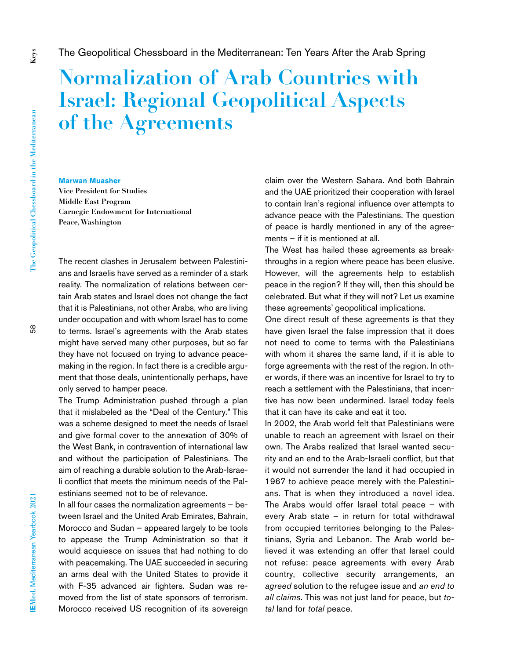## **Normalization of Arab Countries with Israel: Regional Geopolitical Aspects of the Agreements**

## **Marwan Muasher**

**Vice President for Studies Middle East Program Carnegie Endowment for International Peace, Washington**

The recent clashes in Jerusalem between Palestinians and Israelis have served as a reminder of a stark reality. The normalization of relations between certain Arab states and Israel does not change the fact that it is Palestinians, not other Arabs, who are living under occupation and with whom Israel has to come to terms. Israel's agreements with the Arab states might have served many other purposes, but so far they have not focused on trying to advance peacemaking in the region. In fact there is a credible argument that those deals, unintentionally perhaps, have only served to hamper peace.

The Trump Administration pushed through a plan that it mislabeled as the "Deal of the Century." This was a scheme designed to meet the needs of Israel and give formal cover to the annexation of 30% of the West Bank, in contravention of international law and without the participation of Palestinians. The aim of reaching a durable solution to the Arab-Israeli conflict that meets the minimum needs of the Palestinians seemed not to be of relevance.

In all four cases the normalization agreements  $-$  between Israel and the United Arab Emirates, Bahrain, Morocco and Sudan – appeared largely to be tools to appease the Trump Administration so that it would acquiesce on issues that had nothing to do with peacemaking. The UAE succeeded in securing an arms deal with the United States to provide it with F-35 advanced air fighters. Sudan was removed from the list of state sponsors of terrorism. Morocco received US recognition of its sovereign

claim over the Western Sahara. And both Bahrain and the UAE prioritized their cooperation with Israel to contain Iran's regional influence over attempts to advance peace with the Palestinians. The question of peace is hardly mentioned in any of the agreements – if it is mentioned at all.

The West has hailed these agreements as breakthroughs in a region where peace has been elusive. However, will the agreements help to establish peace in the region? If they will, then this should be celebrated. But what if they will not? Let us examine these agreements' geopolitical implications.

One direct result of these agreements is that they have given Israel the false impression that it does not need to come to terms with the Palestinians with whom it shares the same land, if it is able to forge agreements with the rest of the region. In other words, if there was an incentive for Israel to try to reach a settlement with the Palestinians, that incentive has now been undermined. Israel today feels that it can have its cake and eat it too.

In 2002, the Arab world felt that Palestinians were unable to reach an agreement with Israel on their own. The Arabs realized that Israel wanted security and an end to the Arab-Israeli conflict, but that it would not surrender the land it had occupied in 1967 to achieve peace merely with the Palestinians. That is when they introduced a novel idea. The Arabs would offer Israel total peace – with every Arab state – in return for total withdrawal from occupied territories belonging to the Palestinians, Syria and Lebanon. The Arab world believed it was extending an offer that Israel could not refuse: peace agreements with every Arab country, collective security arrangements, an *agreed* solution to the refugee issue and *an end to all claims*. This was not just land for peace, but *total* land for *total* peace.

**Keys**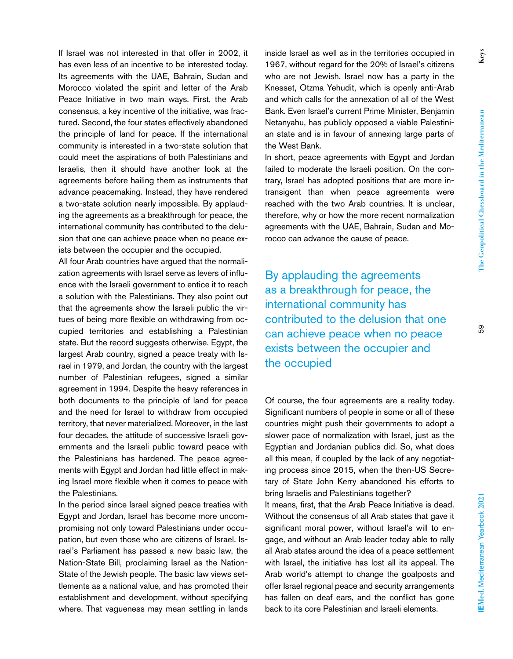**Keys**

If Israel was not interested in that offer in 2002, it has even less of an incentive to be interested today. Its agreements with the UAE, Bahrain, Sudan and Morocco violated the spirit and letter of the Arab Peace Initiative in two main ways. First, the Arab consensus, a key incentive of the initiative, was fractured. Second, the four states effectively abandoned the principle of land for peace. If the international community is interested in a two-state solution that could meet the aspirations of both Palestinians and Israelis, then it should have another look at the agreements before hailing them as instruments that advance peacemaking. Instead, they have rendered a two-state solution nearly impossible. By applauding the agreements as a breakthrough for peace, the international community has contributed to the delusion that one can achieve peace when no peace exists between the occupier and the occupied.

All four Arab countries have argued that the normalization agreements with Israel serve as levers of influence with the Israeli government to entice it to reach a solution with the Palestinians. They also point out that the agreements show the Israeli public the virtues of being more flexible on withdrawing from occupied territories and establishing a Palestinian state. But the record suggests otherwise. Egypt, the largest Arab country, signed a peace treaty with Israel in 1979, and Jordan, the country with the largest number of Palestinian refugees, signed a similar agreement in 1994. Despite the heavy references in both documents to the principle of land for peace and the need for Israel to withdraw from occupied territory, that never materialized. Moreover, in the last four decades, the attitude of successive Israeli governments and the Israeli public toward peace with the Palestinians has hardened. The peace agreements with Egypt and Jordan had little effect in making Israel more flexible when it comes to peace with the Palestinians.

In the period since Israel signed peace treaties with Egypt and Jordan, Israel has become more uncompromising not only toward Palestinians under occupation, but even those who are citizens of Israel. Israel's Parliament has passed a new basic law, the Nation-State Bill, proclaiming Israel as the Nation-State of the Jewish people. The basic law views settlements as a national value, and has promoted their establishment and development, without specifying where. That vagueness may mean settling in lands

inside Israel as well as in the territories occupied in 1967, without regard for the 20% of Israel's citizens who are not Jewish. Israel now has a party in the Knesset, Otzma Yehudit, which is openly anti-Arab and which calls for the annexation of all of the West Bank. Even Israel's current Prime Minister, Benjamin Netanyahu, has publicly opposed a viable Palestinian state and is in favour of annexing large parts of the West Bank.

In short, peace agreements with Egypt and Jordan failed to moderate the Israeli position. On the contrary, Israel has adopted positions that are more intransigent than when peace agreements were reached with the two Arab countries. It is unclear, therefore, why or how the more recent normalization agreements with the UAE, Bahrain, Sudan and Morocco can advance the cause of peace.

By applauding the agreements as a breakthrough for peace, the international community has contributed to the delusion that one can achieve peace when no peace exists between the occupier and the occupied

Of course, the four agreements are a reality today. Significant numbers of people in some or all of these countries might push their governments to adopt a slower pace of normalization with Israel, just as the Egyptian and Jordanian publics did. So, what does all this mean, if coupled by the lack of any negotiating process since 2015, when the then-US Secretary of State John Kerry abandoned his efforts to bring Israelis and Palestinians together?

It means, first, that the Arab Peace Initiative is dead. Without the consensus of all Arab states that gave it significant moral power, without Israel's will to engage, and without an Arab leader today able to rally all Arab states around the idea of a peace settlement with Israel, the initiative has lost all its appeal. The Arab world's attempt to change the goalposts and offer Israel regional peace and security arrangements has fallen on deaf ears, and the conflict has gone back to its core Palestinian and Israeli elements.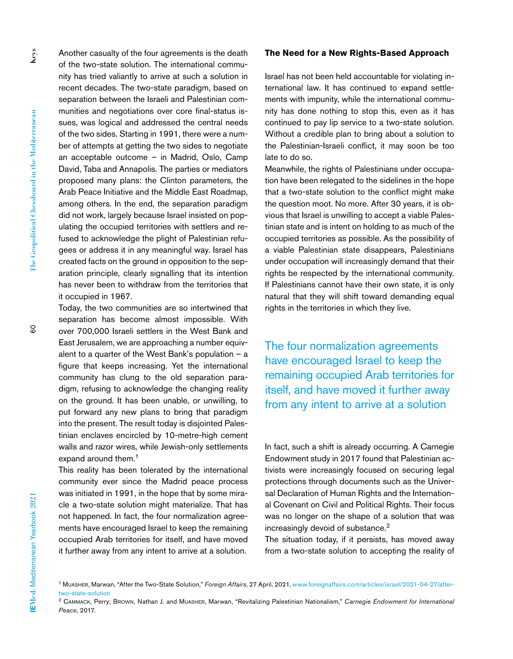**Keys**

Another casualty of the four agreements is the death of the two-state solution. The international community has tried valiantly to arrive at such a solution in recent decades. The two-state paradigm, based on separation between the Israeli and Palestinian communities and negotiations over core final-status issues, was logical and addressed the central needs of the two sides. Starting in 1991, there were a number of attempts at getting the two sides to negotiate an acceptable outcome – in Madrid, Oslo, Camp David, Taba and Annapolis. The parties or mediators proposed many plans: the Clinton parameters, the Arab Peace Initiative and the Middle East Roadmap, among others. In the end, the separation paradigm did not work, largely because Israel insisted on populating the occupied territories with settlers and refused to acknowledge the plight of Palestinian refugees or address it in any meaningful way. Israel has created facts on the ground in opposition to the separation principle, clearly signalling that its intention has never been to withdraw from the territories that it occupied in 1967.

Today, the two communities are so intertwined that separation has become almost impossible. With over 700,000 Israeli settlers in the West Bank and East Jerusalem, we are approaching a number equivalent to a quarter of the West Bank's population  $-$  a figure that keeps increasing. Yet the international community has clung to the old separation paradigm, refusing to acknowledge the changing reality on the ground. It has been unable, or unwilling, to put forward any new plans to bring that paradigm into the present. The result today is disjointed Palestinian enclaves encircled by 10-metre-high cement walls and razor wires, while Jewish-only settlements expand around them.<sup>1</sup>

This reality has been tolerated by the international community ever since the Madrid peace process was initiated in 1991, in the hope that by some miracle a two-state solution might materialize. That has not happened. In fact, the four normalization agreements have encouraged Israel to keep the remaining occupied Arab territories for itself, and have moved it further away from any intent to arrive at a solution.

## **The Need for a New Rights-Based Approach**

Israel has not been held accountable for violating international law. It has continued to expand settlements with impunity, while the international community has done nothing to stop this, even as it has continued to pay lip service to a two-state solution. Without a credible plan to bring about a solution to the Palestinian-Israeli conflict, it may soon be too late to do so.

Meanwhile, the rights of Palestinians under occupation have been relegated to the sidelines in the hope that a two-state solution to the conflict might make the question moot. No more. After 30 years, it is obvious that Israel is unwilling to accept a viable Palestinian state and is intent on holding to as much of the occupied territories as possible. As the possibility of a viable Palestinian state disappears, Palestinians under occupation will increasingly demand that their rights be respected by the international community. If Palestinians cannot have their own state, it is only natural that they will shift toward demanding equal rights in the territories in which they live.

The four normalization agreements have encouraged Israel to keep the remaining occupied Arab territories for itself, and have moved it further away from any intent to arrive at a solution

In fact, such a shift is already occurring. A Carnegie Endowment study in 2017 found that Palestinian activists were increasingly focused on securing legal protections through documents such as the Universal Declaration of Human Rights and the International Covenant on Civil and Political Rights. Their focus was no longer on the shape of a solution that was increasingly devoid of substance.2

The situation today, if it persists, has moved away from a two-state solution to accepting the reality of

<sup>1</sup> Muasher, Marwan, "After the Two-State Solution," *Foreign Affairs*, 27 April, 2021, [www.foreignaffairs.com/articles/israel/2021-04-27/after](http://www.foreignaffairs.com/articles/israel/2021-04-27/after-two-state-solution)[two-state-solution](http://www.foreignaffairs.com/articles/israel/2021-04-27/after-two-state-solution)

<sup>2</sup> Cammack, Perry; Brown, Nathan J. and Muasher, Marwan, "Revitalizing Palestinian Nationalism," *Carnegie Endowment for International Peace,* 2017.